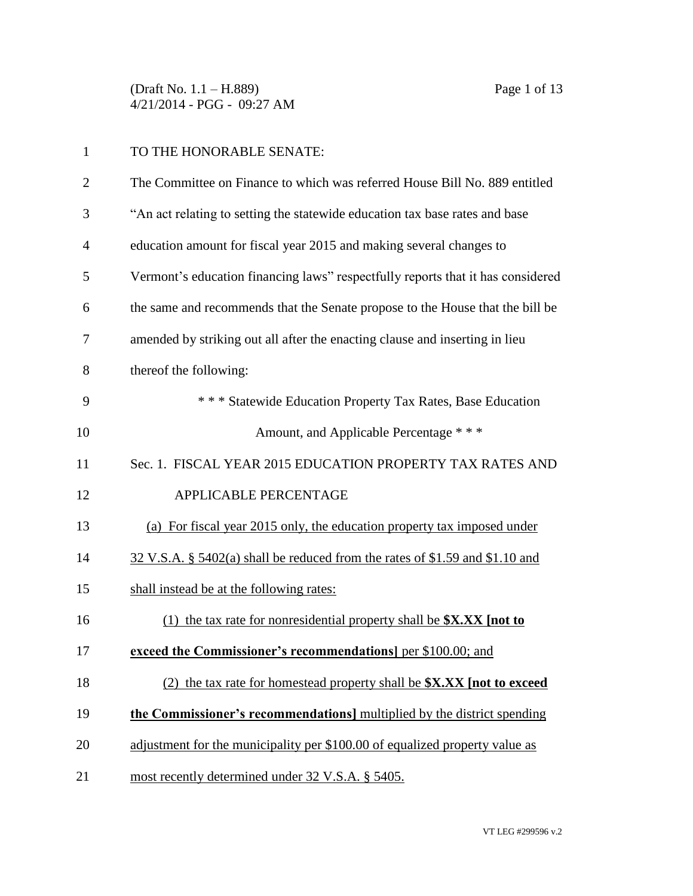(Draft No. 1.1 – H.889) Page 1 of 13 4/21/2014 - PGG - 09:27 AM

## TO THE HONORABLE SENATE:

| $\overline{2}$ | The Committee on Finance to which was referred House Bill No. 889 entitled      |
|----------------|---------------------------------------------------------------------------------|
| 3              | "An act relating to setting the statewide education tax base rates and base     |
| 4              | education amount for fiscal year 2015 and making several changes to             |
| 5              | Vermont's education financing laws" respectfully reports that it has considered |
| 6              | the same and recommends that the Senate propose to the House that the bill be   |
| 7              | amended by striking out all after the enacting clause and inserting in lieu     |
| 8              | thereof the following:                                                          |
| 9              | * * * Statewide Education Property Tax Rates, Base Education                    |
| 10             | Amount, and Applicable Percentage ***                                           |
| 11             | Sec. 1. FISCAL YEAR 2015 EDUCATION PROPERTY TAX RATES AND                       |
| 12             | <b>APPLICABLE PERCENTAGE</b>                                                    |
| 13             | (a) For fiscal year 2015 only, the education property tax imposed under         |
| 14             | 32 V.S.A. § 5402(a) shall be reduced from the rates of \$1.59 and \$1.10 and    |
| 15             | shall instead be at the following rates:                                        |
| 16             | (1) the tax rate for nonresidential property shall be \$X.XX [not to            |
| 17             | exceed the Commissioner's recommendations] per \$100.00; and                    |
| 18             | (2) the tax rate for homestead property shall be \$X.XX [not to exceed          |
| 19             | the Commissioner's recommendations] multiplied by the district spending         |
| 20             | adjustment for the municipality per \$100.00 of equalized property value as     |
| 21             | most recently determined under 32 V.S.A. § 5405.                                |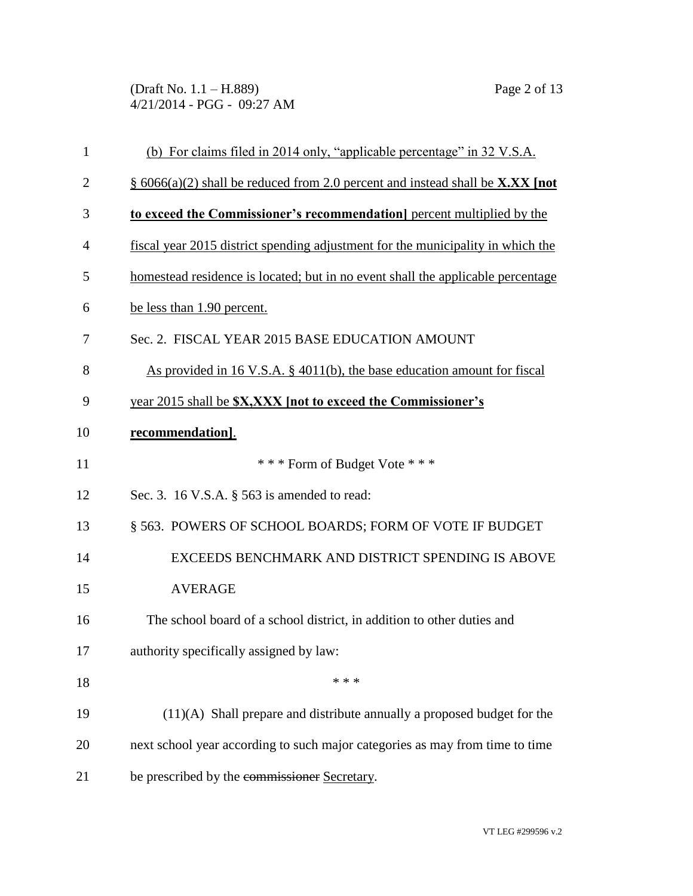(Draft No. 1.1 – H.889) Page 2 of 13 4/21/2014 - PGG - 09:27 AM

| $\mathbf{1}$   | (b) For claims filed in 2014 only, "applicable percentage" in 32 V.S.A.         |
|----------------|---------------------------------------------------------------------------------|
| $\overline{2}$ | § 6066(a)(2) shall be reduced from 2.0 percent and instead shall be X.XX [not   |
| 3              | to exceed the Commissioner's recommendation percent multiplied by the           |
| $\overline{4}$ | fiscal year 2015 district spending adjustment for the municipality in which the |
| 5              | homestead residence is located; but in no event shall the applicable percentage |
| 6              | be less than 1.90 percent.                                                      |
| 7              | Sec. 2. FISCAL YEAR 2015 BASE EDUCATION AMOUNT                                  |
| 8              | As provided in 16 V.S.A. $\S$ 4011(b), the base education amount for fiscal     |
| 9              | year 2015 shall be <b>\$X, XXX</b> [not to exceed the Commissioner's            |
| 10             | recommendation].                                                                |
| 11             | *** Form of Budget Vote ***                                                     |
| 12             | Sec. 3. 16 V.S.A. § 563 is amended to read:                                     |
| 13             | § 563. POWERS OF SCHOOL BOARDS; FORM OF VOTE IF BUDGET                          |
| 14             | EXCEEDS BENCHMARK AND DISTRICT SPENDING IS ABOVE                                |
| 15             | <b>AVERAGE</b>                                                                  |
| 16             | The school board of a school district, in addition to other duties and          |
| 17             | authority specifically assigned by law:                                         |
| 18             | * * *                                                                           |
| 19             | $(11)(A)$ Shall prepare and distribute annually a proposed budget for the       |
| 20             | next school year according to such major categories as may from time to time    |
| 21             | be prescribed by the commissioner Secretary.                                    |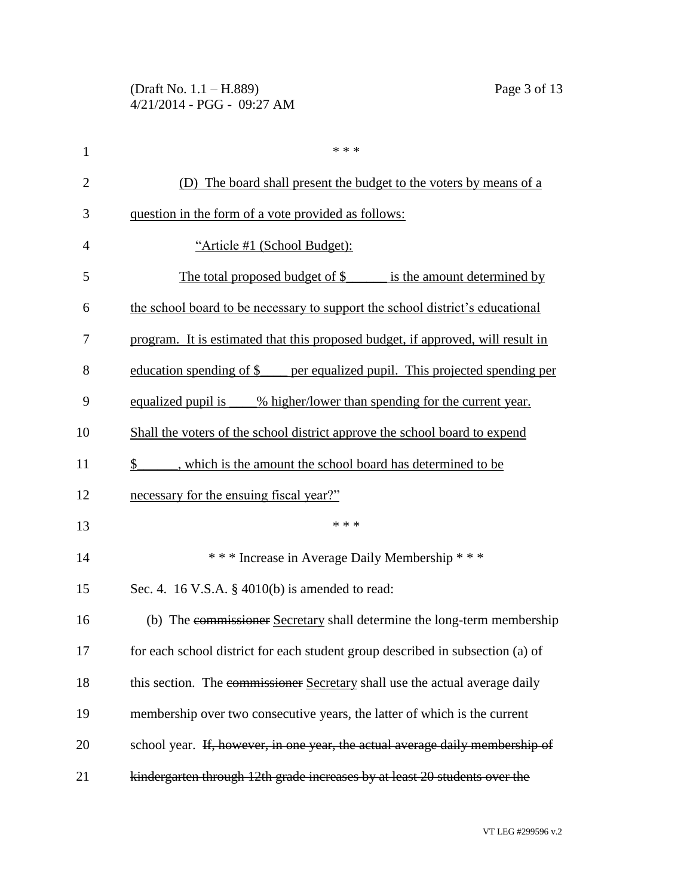| $\mathbf{1}$   | * * *                                                                           |
|----------------|---------------------------------------------------------------------------------|
| $\overline{2}$ | (D) The board shall present the budget to the voters by means of a              |
| 3              | question in the form of a vote provided as follows:                             |
| $\overline{4}$ | "Article #1 (School Budget):                                                    |
| 5              | The total proposed budget of $\frac{1}{2}$<br>is the amount determined by       |
| 6              | the school board to be necessary to support the school district's educational   |
| 7              | program. It is estimated that this proposed budget, if approved, will result in |
| 8              | education spending of \$____ per equalized pupil. This projected spending per   |
| 9              | equalized pupil is _____% higher/lower than spending for the current year.      |
| 10             | Shall the voters of the school district approve the school board to expend      |
| 11             | \$ , which is the amount the school board has determined to be                  |
| 12             | necessary for the ensuing fiscal year?"                                         |
| 13             | * * *                                                                           |
| 14             | *** Increase in Average Daily Membership ***                                    |
| 15             | Sec. 4. 16 V.S.A. $\S$ 4010(b) is amended to read:                              |
| 16             | (b) The commissioner Secretary shall determine the long-term membership         |
| 17             | for each school district for each student group described in subsection (a) of  |
| 18             | this section. The commissioner Secretary shall use the actual average daily     |
| 19             | membership over two consecutive years, the latter of which is the current       |
| 20             | school year. If, however, in one year, the actual average daily membership of   |
| 21             | kindergarten through 12th grade increases by at least 20 students over the      |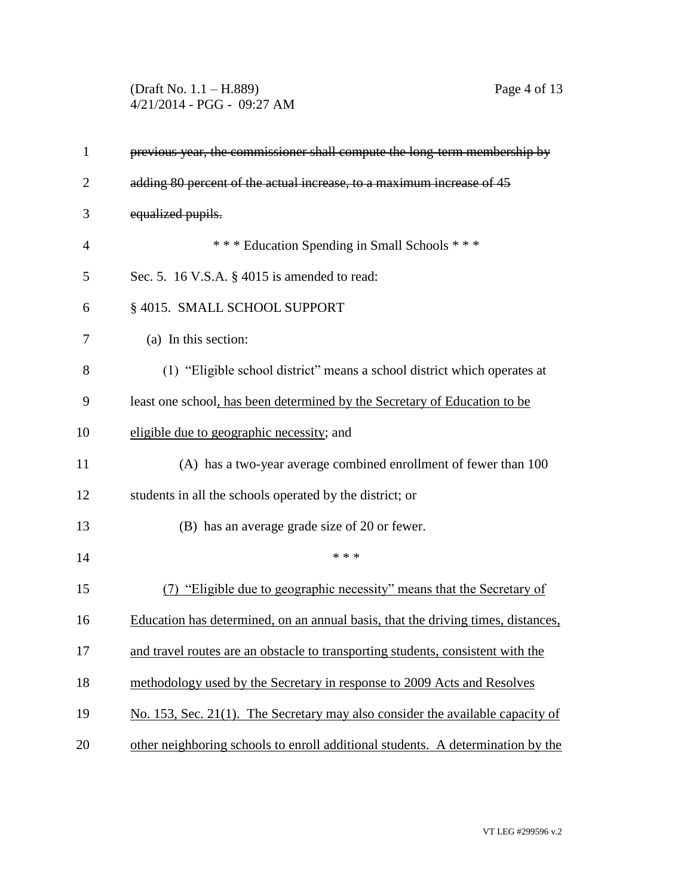(Draft No. 1.1 – H.889) Page 4 of 13 4/21/2014 - PGG - 09:27 AM

| $\mathbf{1}$   | previous year, the commissioner shall compute the long-term membership by        |
|----------------|----------------------------------------------------------------------------------|
| $\overline{2}$ | adding 80 percent of the actual increase, to a maximum increase of 45            |
| 3              | equalized pupils.                                                                |
| $\overline{4}$ | *** Education Spending in Small Schools ***                                      |
| 5              | Sec. 5. 16 V.S.A. § 4015 is amended to read:                                     |
| 6              | § 4015. SMALL SCHOOL SUPPORT                                                     |
| 7              | (a) In this section:                                                             |
| 8              | (1) "Eligible school district" means a school district which operates at         |
| 9              | least one school, has been determined by the Secretary of Education to be        |
| 10             | eligible due to geographic necessity; and                                        |
| 11             | (A) has a two-year average combined enrollment of fewer than 100                 |
| 12             | students in all the schools operated by the district; or                         |
| 13             | (B) has an average grade size of 20 or fewer.                                    |
| 14             | * * *                                                                            |
| 15             | (7) "Eligible due to geographic necessity" means that the Secretary of           |
| 16             | Education has determined, on an annual basis, that the driving times, distances, |
| 17             | and travel routes are an obstacle to transporting students, consistent with the  |
| 18             | methodology used by the Secretary in response to 2009 Acts and Resolves          |
| 19             | No. 153, Sec. 21(1). The Secretary may also consider the available capacity of   |
| 20             | other neighboring schools to enroll additional students. A determination by the  |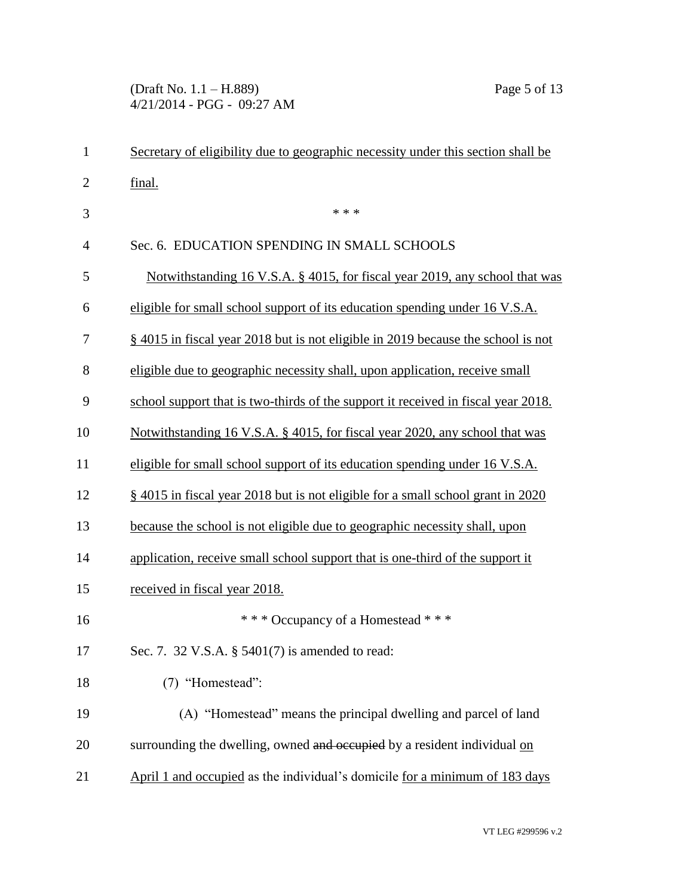(Draft No. 1.1 – H.889) Page 5 of 13 4/21/2014 - PGG - 09:27 AM

| $\mathbf{1}$   | Secretary of eligibility due to geographic necessity under this section shall be  |
|----------------|-----------------------------------------------------------------------------------|
| $\overline{2}$ | final.                                                                            |
| 3              | * * *                                                                             |
| $\overline{4}$ | Sec. 6. EDUCATION SPENDING IN SMALL SCHOOLS                                       |
| 5              | Notwithstanding 16 V.S.A. § 4015, for fiscal year 2019, any school that was       |
| 6              | eligible for small school support of its education spending under 16 V.S.A.       |
| 7              | § 4015 in fiscal year 2018 but is not eligible in 2019 because the school is not  |
| 8              | eligible due to geographic necessity shall, upon application, receive small       |
| 9              | school support that is two-thirds of the support it received in fiscal year 2018. |
| 10             | Notwithstanding 16 V.S.A. § 4015, for fiscal year 2020, any school that was       |
| 11             | eligible for small school support of its education spending under 16 V.S.A.       |
| 12             | § 4015 in fiscal year 2018 but is not eligible for a small school grant in 2020   |
| 13             | because the school is not eligible due to geographic necessity shall, upon        |
| 14             | application, receive small school support that is one-third of the support it     |
| 15             | received in fiscal year 2018.                                                     |
| 16             | *** Occupancy of a Homestead ***                                                  |
| 17             | Sec. 7. 32 V.S.A. § 5401(7) is amended to read:                                   |
| 18             | (7) "Homestead":                                                                  |
| 19             | (A) "Homestead" means the principal dwelling and parcel of land                   |
| 20             | surrounding the dwelling, owned and occupied by a resident individual on          |
| 21             | April 1 and occupied as the individual's domicile for a minimum of 183 days       |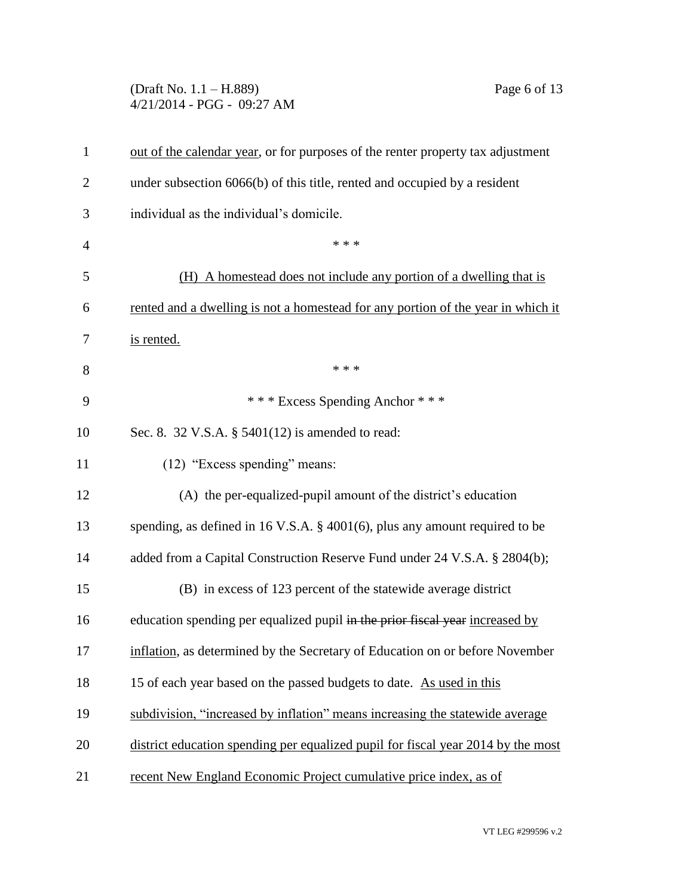(Draft No. 1.1 – H.889) Page 6 of 13 4/21/2014 - PGG - 09:27 AM

| 1              | out of the calendar year, or for purposes of the renter property tax adjustment  |
|----------------|----------------------------------------------------------------------------------|
| $\overline{2}$ | under subsection 6066(b) of this title, rented and occupied by a resident        |
| 3              | individual as the individual's domicile.                                         |
| $\overline{4}$ | * * *                                                                            |
| 5              | (H) A homestead does not include any portion of a dwelling that is               |
| 6              | rented and a dwelling is not a homestead for any portion of the year in which it |
| 7              | is rented.                                                                       |
| 8              | * * *                                                                            |
| 9              | *** Excess Spending Anchor ***                                                   |
| 10             | Sec. 8. 32 V.S.A. § 5401(12) is amended to read:                                 |
| 11             | (12) "Excess spending" means:                                                    |
| 12             | (A) the per-equalized-pupil amount of the district's education                   |
| 13             | spending, as defined in 16 V.S.A. § 4001(6), plus any amount required to be      |
| 14             | added from a Capital Construction Reserve Fund under 24 V.S.A. § 2804(b);        |
| 15             | (B) in excess of 123 percent of the statewide average district                   |
| 16             | education spending per equalized pupil in the prior fiscal year increased by     |
| 17             | inflation, as determined by the Secretary of Education on or before November     |
| 18             | 15 of each year based on the passed budgets to date. As used in this             |
| 19             | subdivision, "increased by inflation" means increasing the statewide average     |
| 20             | district education spending per equalized pupil for fiscal year 2014 by the most |
| 21             | recent New England Economic Project cumulative price index, as of                |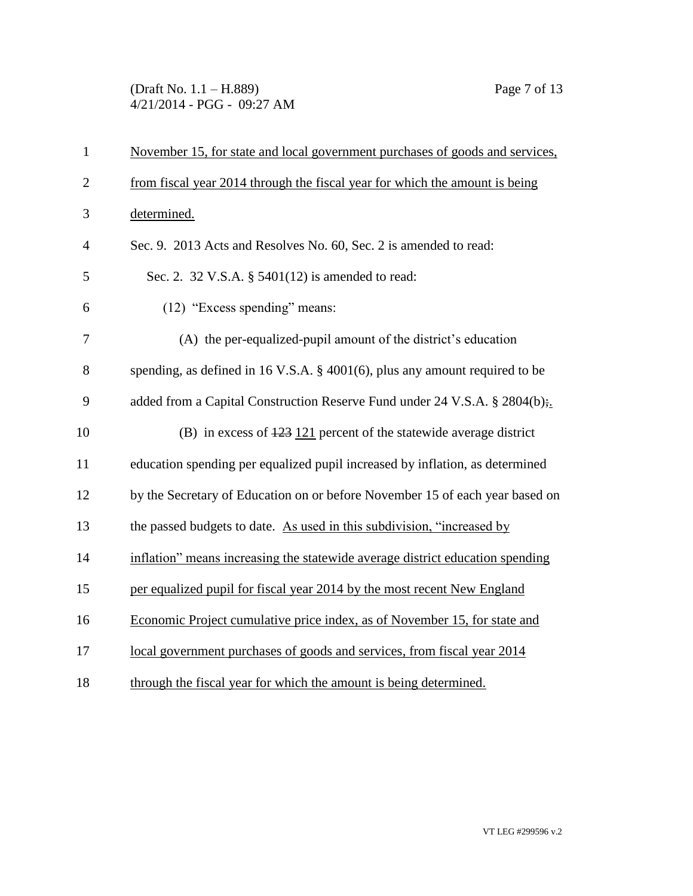(Draft No. 1.1 – H.889) Page 7 of 13 4/21/2014 - PGG - 09:27 AM

| $\mathbf{1}$   | November 15, for state and local government purchases of goods and services,   |
|----------------|--------------------------------------------------------------------------------|
| $\overline{2}$ | from fiscal year 2014 through the fiscal year for which the amount is being    |
| 3              | determined.                                                                    |
| 4              | Sec. 9. 2013 Acts and Resolves No. 60, Sec. 2 is amended to read:              |
| 5              | Sec. 2. 32 V.S.A. § 5401(12) is amended to read:                               |
| 6              | (12) "Excess spending" means:                                                  |
| 7              | (A) the per-equalized-pupil amount of the district's education                 |
| 8              | spending, as defined in 16 V.S.A. $\S$ 4001(6), plus any amount required to be |
| 9              | added from a Capital Construction Reserve Fund under 24 V.S.A. § 2804(b);      |
| 10             | (B) in excess of $\frac{123}{121}$ percent of the statewide average district   |
| 11             | education spending per equalized pupil increased by inflation, as determined   |
| 12             | by the Secretary of Education on or before November 15 of each year based on   |
| 13             | the passed budgets to date. As used in this subdivision, "increased by         |
| 14             | inflation" means increasing the statewide average district education spending  |
| 15             | per equalized pupil for fiscal year 2014 by the most recent New England        |
| 16             | Economic Project cumulative price index, as of November 15, for state and      |
| 17             | local government purchases of goods and services, from fiscal year 2014        |
| 18             | through the fiscal year for which the amount is being determined.              |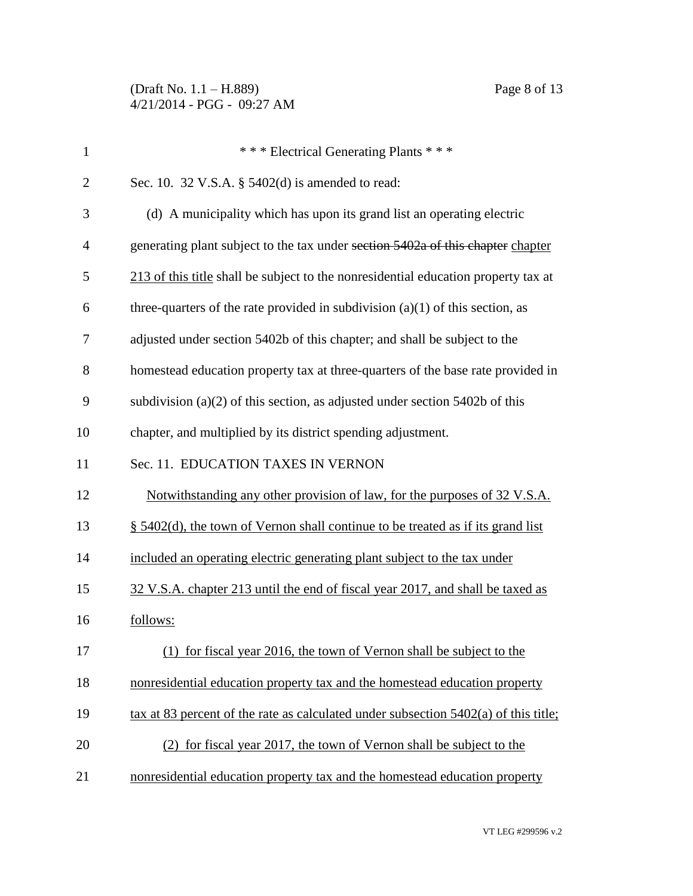(Draft No. 1.1 – H.889) Page 8 of 13 4/21/2014 - PGG - 09:27 AM

| $\mathbf{1}$   | *** Electrical Generating Plants ***                                                  |
|----------------|---------------------------------------------------------------------------------------|
| $\overline{2}$ | Sec. 10. 32 V.S.A. § 5402(d) is amended to read:                                      |
| 3              | (d) A municipality which has upon its grand list an operating electric                |
| $\overline{4}$ | generating plant subject to the tax under section 5402a of this chapter chapter       |
| 5              | 213 of this title shall be subject to the nonresidential education property tax at    |
| 6              | three-quarters of the rate provided in subdivision $(a)(1)$ of this section, as       |
| 7              | adjusted under section 5402b of this chapter; and shall be subject to the             |
| 8              | homestead education property tax at three-quarters of the base rate provided in       |
| 9              | subdivision (a) $(2)$ of this section, as adjusted under section 5402b of this        |
| 10             | chapter, and multiplied by its district spending adjustment.                          |
| 11             | Sec. 11. EDUCATION TAXES IN VERNON                                                    |
| 12             | Notwithstanding any other provision of law, for the purposes of 32 V.S.A.             |
| 13             | § 5402(d), the town of Vernon shall continue to be treated as if its grand list       |
| 14             | included an operating electric generating plant subject to the tax under              |
| 15             | 32 V.S.A. chapter 213 until the end of fiscal year 2017, and shall be taxed as        |
| 16             | follows:                                                                              |
| 17             | (1) for fiscal year 2016, the town of Vernon shall be subject to the                  |
| 18             | nonresidential education property tax and the homestead education property            |
| 19             | tax at 83 percent of the rate as calculated under subsection $5402(a)$ of this title; |
| 20             | (2) for fiscal year 2017, the town of Vernon shall be subject to the                  |
| 21             | nonresidential education property tax and the homestead education property            |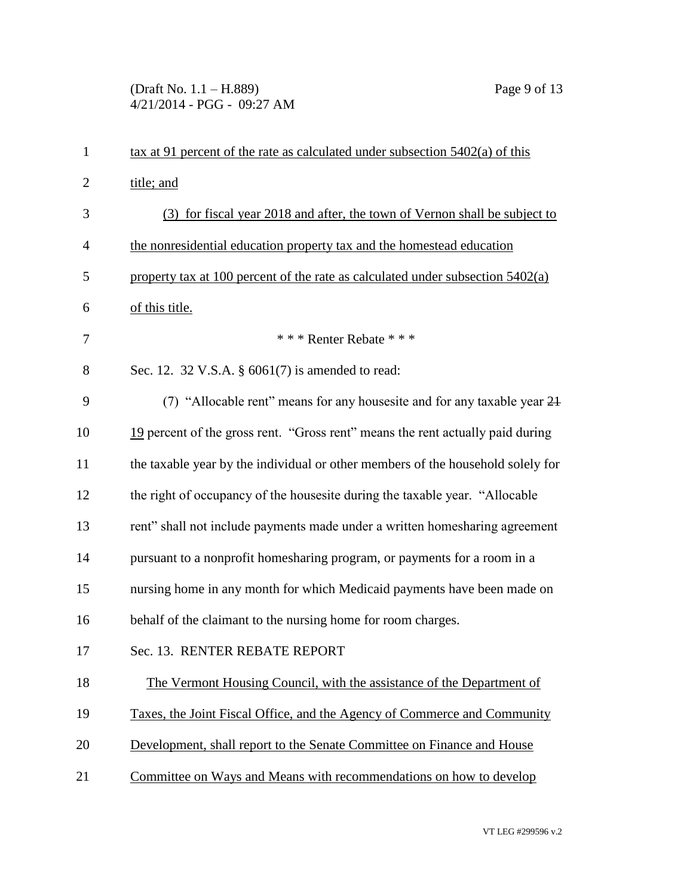(Draft No. 1.1 – H.889) Page 9 of 13 4/21/2014 - PGG - 09:27 AM

| $\mathbf{1}$   | $\frac{\text{tax at } 91 \text{ percent of the rate as calculated under subsection } 5402(a) \text{ of this}}{2 \cdot a}$ |
|----------------|---------------------------------------------------------------------------------------------------------------------------|
| $\overline{2}$ | title; and                                                                                                                |
| 3              | (3) for fiscal year 2018 and after, the town of Vernon shall be subject to                                                |
| $\overline{4}$ | the nonresidential education property tax and the homestead education                                                     |
| 5              | property tax at 100 percent of the rate as calculated under subsection $5402(a)$                                          |
| 6              | of this title.                                                                                                            |
| 7              | *** Renter Rebate ***                                                                                                     |
| 8              | Sec. 12. 32 V.S.A. § 6061(7) is amended to read:                                                                          |
| 9              | (7) "Allocable rent" means for any housesite and for any taxable year 24                                                  |
| 10             | 19 percent of the gross rent. "Gross rent" means the rent actually paid during                                            |
| 11             | the taxable year by the individual or other members of the household solely for                                           |
| 12             | the right of occupancy of the housesite during the taxable year. "Allocable                                               |
| 13             | rent" shall not include payments made under a written homesharing agreement                                               |
| 14             | pursuant to a nonprofit homesharing program, or payments for a room in a                                                  |
| 15             | nursing home in any month for which Medicaid payments have been made on                                                   |
| 16             | behalf of the claimant to the nursing home for room charges.                                                              |
| 17             | Sec. 13. RENTER REBATE REPORT                                                                                             |
| 18             | The Vermont Housing Council, with the assistance of the Department of                                                     |
| 19             | Taxes, the Joint Fiscal Office, and the Agency of Commerce and Community                                                  |
| 20             | Development, shall report to the Senate Committee on Finance and House                                                    |
| 21             | Committee on Ways and Means with recommendations on how to develop                                                        |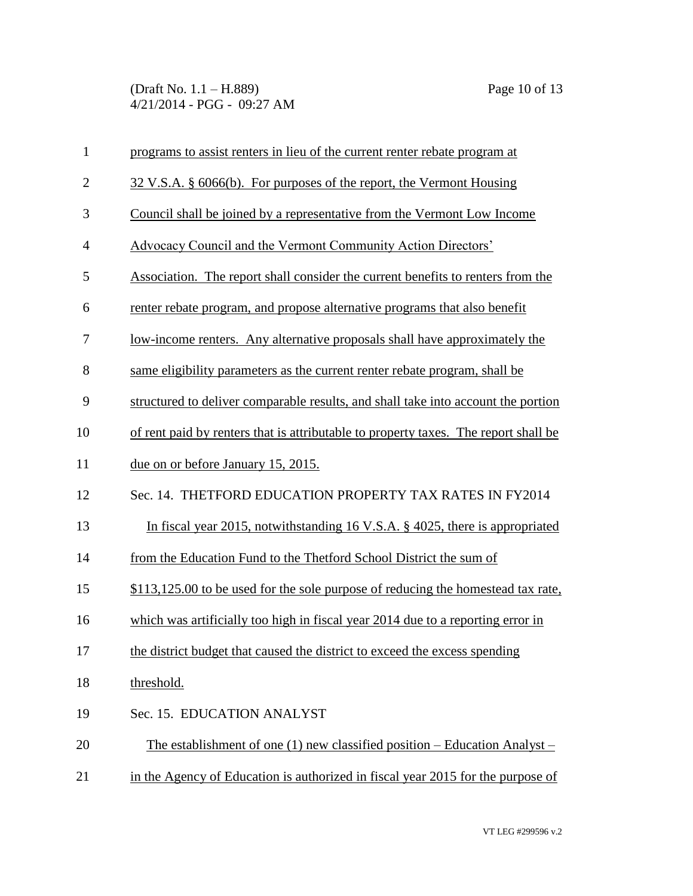(Draft No. 1.1 – H.889) Page 10 of 13 4/21/2014 - PGG - 09:27 AM

| $\mathbf{1}$   | programs to assist renters in lieu of the current renter rebate program at          |
|----------------|-------------------------------------------------------------------------------------|
| $\overline{2}$ | 32 V.S.A. § 6066(b). For purposes of the report, the Vermont Housing                |
| 3              | Council shall be joined by a representative from the Vermont Low Income             |
| $\overline{4}$ | <b>Advocacy Council and the Vermont Community Action Directors'</b>                 |
| 5              | Association. The report shall consider the current benefits to renters from the     |
| 6              | renter rebate program, and propose alternative programs that also benefit           |
| 7              | <u>low-income renters. Any alternative proposals shall have approximately the</u>   |
| 8              | same eligibility parameters as the current renter rebate program, shall be          |
| 9              | structured to deliver comparable results, and shall take into account the portion   |
| 10             | of rent paid by renters that is attributable to property taxes. The report shall be |
| 11             | due on or before January 15, 2015.                                                  |
| 12             | Sec. 14. THETFORD EDUCATION PROPERTY TAX RATES IN FY2014                            |
| 13             | In fiscal year 2015, notwithstanding 16 V.S.A. § 4025, there is appropriated        |
| 14             | from the Education Fund to the Thetford School District the sum of                  |
| 15             | \$113,125.00 to be used for the sole purpose of reducing the homestead tax rate,    |
| 16             | which was artificially too high in fiscal year 2014 due to a reporting error in     |
| 17             | the district budget that caused the district to exceed the excess spending          |
| 18             | threshold.                                                                          |
| 19             | Sec. 15. EDUCATION ANALYST                                                          |
| 20             | The establishment of one (1) new classified position – Education Analyst –          |
| 21             | in the Agency of Education is authorized in fiscal year 2015 for the purpose of     |
|                |                                                                                     |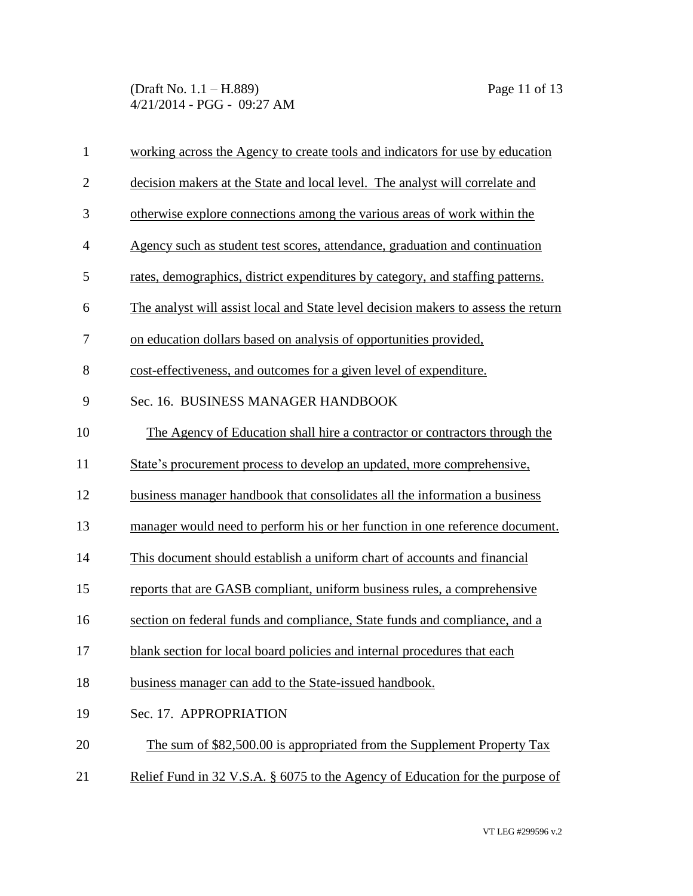(Draft No. 1.1 – H.889) Page 11 of 13 4/21/2014 - PGG - 09:27 AM

| $\mathbf{1}$   | working across the Agency to create tools and indicators for use by education      |
|----------------|------------------------------------------------------------------------------------|
| $\overline{2}$ | decision makers at the State and local level. The analyst will correlate and       |
| 3              | otherwise explore connections among the various areas of work within the           |
| $\overline{4}$ | Agency such as student test scores, attendance, graduation and continuation        |
| 5              | rates, demographics, district expenditures by category, and staffing patterns.     |
| 6              | The analyst will assist local and State level decision makers to assess the return |
| 7              | on education dollars based on analysis of opportunities provided,                  |
| 8              | cost-effectiveness, and outcomes for a given level of expenditure.                 |
| 9              | Sec. 16. BUSINESS MANAGER HANDBOOK                                                 |
| 10             | The Agency of Education shall hire a contractor or contractors through the         |
| 11             | State's procurement process to develop an updated, more comprehensive,             |
| 12             | business manager handbook that consolidates all the information a business         |
| 13             | manager would need to perform his or her function in one reference document.       |
| 14             | This document should establish a uniform chart of accounts and financial           |
| 15             | reports that are GASB compliant, uniform business rules, a comprehensive           |
| 16             | section on federal funds and compliance, State funds and compliance, and a         |
| 17             | blank section for local board policies and internal procedures that each           |
| 18             | business manager can add to the State-issued handbook.                             |
| 19             | Sec. 17. APPROPRIATION                                                             |
| 20             | The sum of \$82,500.00 is appropriated from the Supplement Property Tax            |
| 21             | Relief Fund in 32 V.S.A. § 6075 to the Agency of Education for the purpose of      |
|                |                                                                                    |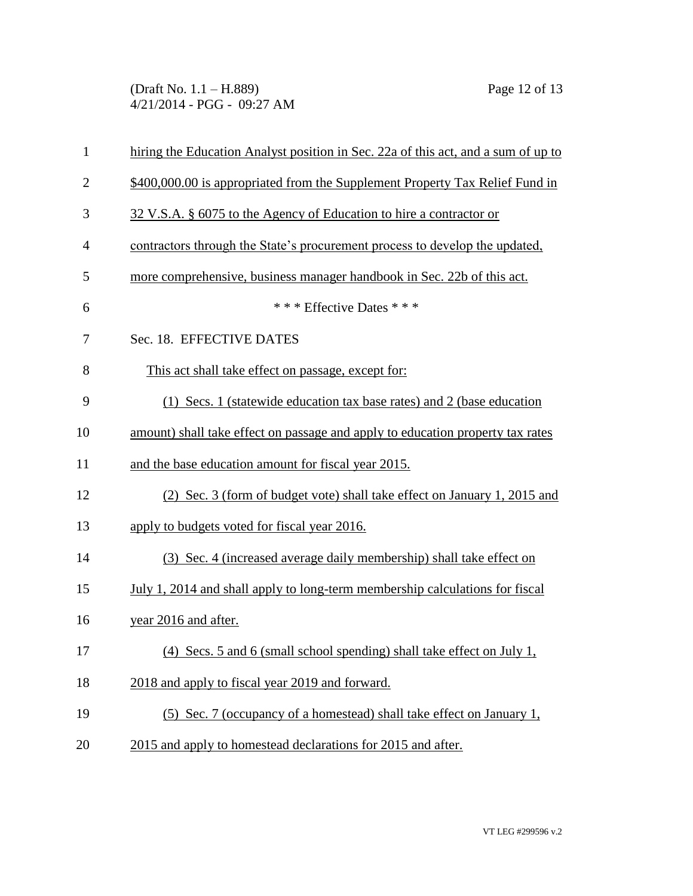(Draft No. 1.1 – H.889) Page 12 of 13 4/21/2014 - PGG - 09:27 AM

| $\mathbf{1}$   | hiring the Education Analyst position in Sec. 22a of this act, and a sum of up to |
|----------------|-----------------------------------------------------------------------------------|
| $\overline{2}$ | \$400,000.00 is appropriated from the Supplement Property Tax Relief Fund in      |
| 3              | 32 V.S.A. § 6075 to the Agency of Education to hire a contractor or               |
| $\overline{4}$ | contractors through the State's procurement process to develop the updated,       |
| 5              | more comprehensive, business manager handbook in Sec. 22b of this act.            |
| 6              | *** Effective Dates ***                                                           |
| 7              | Sec. 18. EFFECTIVE DATES                                                          |
| 8              | This act shall take effect on passage, except for:                                |
| 9              | (1) Secs. 1 (statewide education tax base rates) and 2 (base education            |
| 10             | amount) shall take effect on passage and apply to education property tax rates    |
| 11             | and the base education amount for fiscal year 2015.                               |
| 12             | (2) Sec. 3 (form of budget vote) shall take effect on January 1, 2015 and         |
| 13             | apply to budgets voted for fiscal year 2016.                                      |
| 14             | (3) Sec. 4 (increased average daily membership) shall take effect on              |
| 15             | July 1, 2014 and shall apply to long-term membership calculations for fiscal      |
| 16             | year 2016 and after.                                                              |
| 17             | (4) Secs. 5 and 6 (small school spending) shall take effect on July 1,            |
| 18             | 2018 and apply to fiscal year 2019 and forward.                                   |
| 19             | (5) Sec. 7 (occupancy of a homestead) shall take effect on January 1,             |
| 20             | 2015 and apply to homestead declarations for 2015 and after.                      |